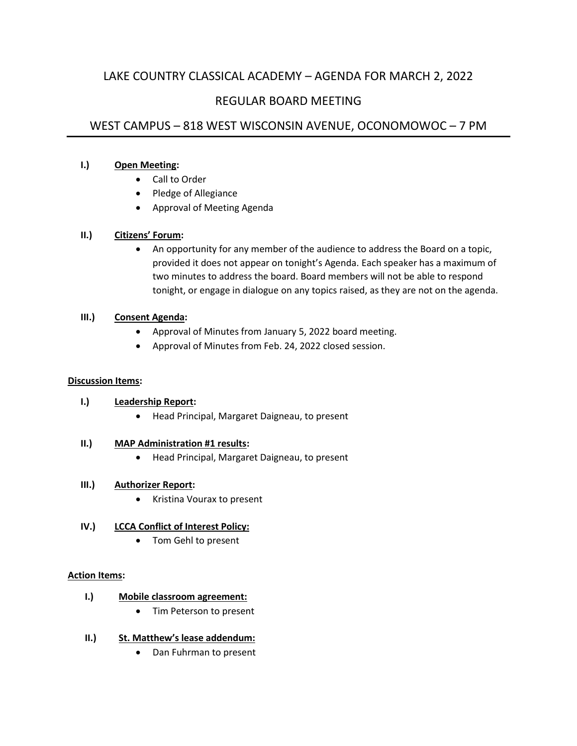# LAKE COUNTRY CLASSICAL ACADEMY – AGENDA FOR MARCH 2, 2022

# REGULAR BOARD MEETING

# WEST CAMPUS – 818 WEST WISCONSIN AVENUE, OCONOMOWOC – 7 PM

## **I.) Open Meeting:**

- Call to Order
- Pledge of Allegiance
- Approval of Meeting Agenda

## **II.) Citizens' Forum:**

• An opportunity for any member of the audience to address the Board on a topic, provided it does not appear on tonight's Agenda. Each speaker has a maximum of two minutes to address the board. Board members will not be able to respond tonight, or engage in dialogue on any topics raised, as they are not on the agenda.

## **III.) Consent Agenda:**

- Approval of Minutes from January 5, 2022 board meeting.
- Approval of Minutes from Feb. 24, 2022 closed session.

### **Discussion Items:**

# **I.) Leadership Report:**

• Head Principal, Margaret Daigneau, to present

### **II.) MAP Administration #1 results:**

• Head Principal, Margaret Daigneau, to present

# **III.) Authorizer Report:**

• Kristina Vourax to present

# **IV.) LCCA Conflict of Interest Policy:**

• Tom Gehl to present

### **Action Items:**

# **I.) Mobile classroom agreement:**

- Tim Peterson to present
- **II.) St. Matthew's lease addendum:**
	- Dan Fuhrman to present